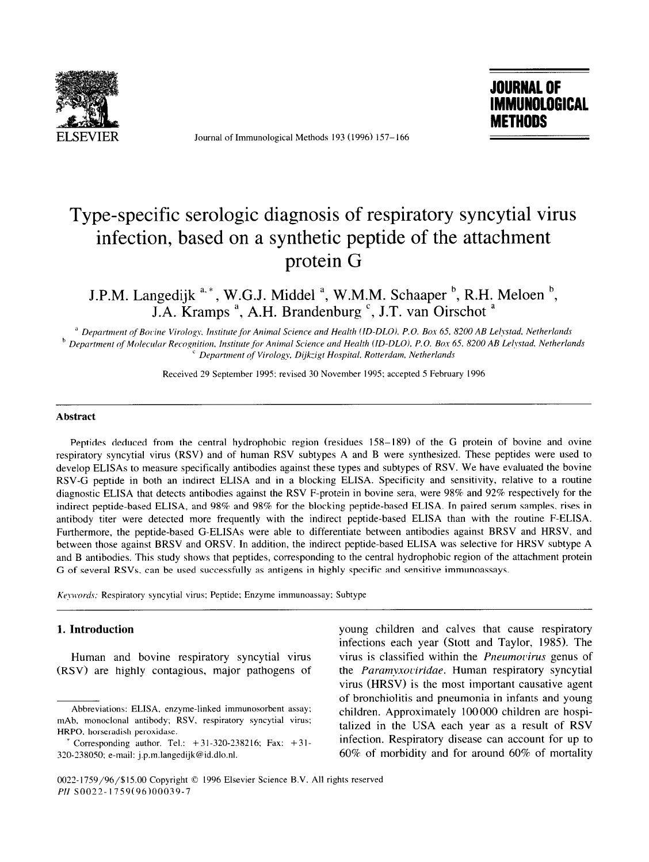

Journal of Immunological Methods 193 (1996) 157-166

JOURNAL OF lMMUNOLOGlCAL METHODS

# Type-specific serologic diagnosis of respiratory syncytial virus infection, based on a synthetic peptide of the attachment protein G

J.P.M. Langedijk <sup>a.</sup>\*, W.G.J. Middel<sup>a</sup>, W.M.M. Schaaper<sup>b</sup>, R.H. Meloen<sup>b</sup>, J.A. Kramps<sup>a</sup>, A.H. Brandenburg<sup>c</sup>, J.T. van Oirschot<sup>a</sup>

<sup>a</sup> Department of Bovine Virology, Institute for Animal Science and Health (ID-DLO). P.O. Box 65, 8200 AB Lelystad, Netherlands <sup>*h</sup> Department of Molecular Recognition, Institute for Animal Science and Health (ID-DLO), P.O. Box 65, 8200 AB Lelystad, Netherlands</sup>* <sup>c</sup> Department of Virology, Dijkzigt Hospital, Rotterdam, Netherlands

Received 29 September 1995: revised 30 November 1995: accepted 5 February 1996

#### **Abstract**

Peptides deduced from the central hydrophobic region (residues 158–189) of the G protein of bovine and ovine respiratory syncytial virus (RSV) and of human RSV subtypes A and B were synthesized. These peptides were used to develop ELISAs to measure specifically antibodies against these types and subtypes of RSV. We have evaluated the bovine RSV-G peptide in both an indirect ELISA and in a blocking ELISA. Specificity and sensitivity, relative to a routine diagnostic ELISA that detects antibodies against the RSV F-protein in bovine sera, were 98% and 92% respectively for the indirect peptide-based ELISA, and 98% and 98% for the blocking peptide-based ELISA. In paired serum samples, rises in antibody titer were detected more frequently with the indirect peptide-based ELISA than with the routine F-ELISA. Furthermore, the peptide-based G-ELISAs were able to differentiate between antibodies against BRSV and HRSV, and between those against BRSV and ORSV. In addition, the indirect peptide-based ELISA was selective for HRSV subtype A and B antibodies. This study shows that peptides, corresponding to the central hydrophobic region of the attachment protein G of several RSVs. can be used successfully as antigens in highly specific and sensitive immunoassays.

*Kewvrd.sc* Respiratory syncytial virus: Peptide: Enzyme immunoassay; Subtype

## **1. Introduction**

Human and bovine respiratory syncytial virus (RSV) are highly contagious, major pathogens of young children and calves that cause respiratory infections each year (Stott and Taylor, 1985). The virus is classified within the *Pneumoz~irus* genus of the *Paramyxoviridae*. Human respiratory syncytial virus (HRSV) is the most important causative agent of bronchiolitis and pneumonia in infants and young children. Approximately 100000 children are hospitalized in the USA each year as a result of RSV infection. Respiratory disease can account for up to *60%* of morbidity and for around 60% of mortality

Abbreviations: ELISA, enzyme-linked immunosorbent assay: mAb. monoclonal antibody; RSV. respiratory syncytial virus: HRPO, horseradish peroxidase.

Corresponding author. Tel.:  $+31-320-238216$ ; Fax:  $+31-$ 320-238050: e-mail: j.p.m.langedijk@id.dlo.nl.

<sup>0022-1759/96/\$15.00</sup> Copyright © 1996 Elsevier Science B.V. All rights reserved *PII SOO22-* 1759(96)00039-7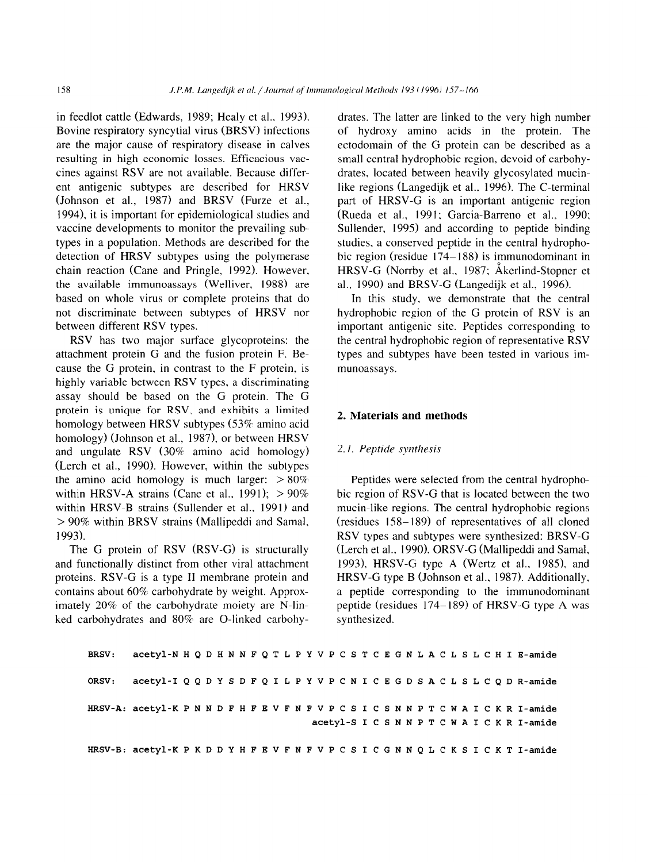in feedlot cattle (Edwards, 1989; Healy et al., 1993). Bovine respiratory syncytial virus (BRSV) infections are the major cause of respiratory disease in calves resulting in high economic losses. Efficacious vaccines against RSV are not available. Because different antigenic subtypes are described for HRSV (Johnson et al., 1987) and BRSV (Furze et al.. 1994), it is important for epidemiological studies and vaccine developments to monitor the prevailing subtypes in a population. Methods are described for the detection of HRSV subtypes using the polymerase chain reaction (Cane and Pringle, 1992). However, the available immunoassays (Welliver, 1988) are based on whole virus or complete proteins that do not discriminate between subtypes of HRSV nor between different RSV types.

RSV has two major surface glycoproteins: the attachment protein G and the fusion protein F. Because the G protein. in contrast to the F protein, is highly variable between RSV types, a discriminating assay should be based on the G protein. The G protein is unique for RSV, and exhibits a limited homology between HRSV subtypes (53% amino acid homology) (Johnson et al., 1987). or between HRSV and ungulate RSV (30% amino acid homology) (Lerch et al., 1990). However, within the subtypes the amino acid homology is much larger:  $> 80\%$ within HRSV-A strains (Cane et al., 1991);  $>90\%$ within HRSV-B strains (Sullender et al., 1991) and > 90% within BRSV strains (Mallipeddi and Samal. 1993).

The G protein of RSV (RSV-G) is structurally and functionally distinct from other viral attachment proteins. RSV-G is a type II membrane protein and contains about 60% carbohydrate by weight. Approximately 20% of the carbohydrate moiety are N-linked carbohydrates and 80% are O-linked carbohydrates. The latter are linked to the very high number of hydroxy amino acids in the protein. The ectodomain of the G protein can be described as a small central hydrophobic region, devoid of carbohydrates, located between heavily glycosylated mucinlike regions (Langedijk et al., 1996). The C-terminal part of HRSV-G is an important antigenic region (Rueda et al., 1991; Garcia-Barreno et al., 1990; Sullender. 1995) and according to peptide binding studies, a conserved peptide in the central hydrophobic region (residue  $174-188$ ) is immunodominant in HRSV-G (Norrby et al.. 1987; Akerlind-Stopner et al., 1990) and BRSV-G (Langedijk et al., 1996).

In this study, we demonstrate that the central hydrophobic region of the G protein of RSV is an important antigenic site. Peptides corresponding to the central hydrophobic region of representative RSV types and subtypes have been tested in various immunoassays.

## 2. **Materials and methods**

# **2.1.** *Peptide synthesis*

Peptides were selected from the central hydrophobic region of RSV-G that is located between the two mucin-like regions. The central hydrophobic regions (residues 158-189) of representatives of all cloned RSV types and subtypes were synthesized: BRSV-G (Lerch et al., 1990), ORSV-G (Mallipeddi and Samal, 1993). HRSV-G type A (Wertz et al., 1985). and HRSV-G type B (Johnson et al.. 1987). Additionally, a peptide corresponding to the immunodominant peptide (residues 174- 189) of HRSV-G type A was synthesized.

| <b>BRSV:</b> | acetyl-N H Q D H N N F Q T L P Y V P C S T C E G N L A C L S L C H I E-amide         |  |  |  |  |  |  |  |  |  |  |  |  |  |  |  |                               |
|--------------|--------------------------------------------------------------------------------------|--|--|--|--|--|--|--|--|--|--|--|--|--|--|--|-------------------------------|
| ORSV:        | acetyl-I Q Q D Y S D F Q I L P Y V P C N I C E G D S A C L S L C O D R-amide         |  |  |  |  |  |  |  |  |  |  |  |  |  |  |  |                               |
|              | HRSV-A: acetyl-KPNNDFHFEVFNFVPCSICSNNPTCWAICKRI-amide                                |  |  |  |  |  |  |  |  |  |  |  |  |  |  |  |                               |
|              |                                                                                      |  |  |  |  |  |  |  |  |  |  |  |  |  |  |  | acetyl-SICSNNPTCWAICKRI-amide |
|              | HRSV-B: acetyl-K P K D D Y H F E V F N F V P C S I C G N N Q L C K S I C K T I-amide |  |  |  |  |  |  |  |  |  |  |  |  |  |  |  |                               |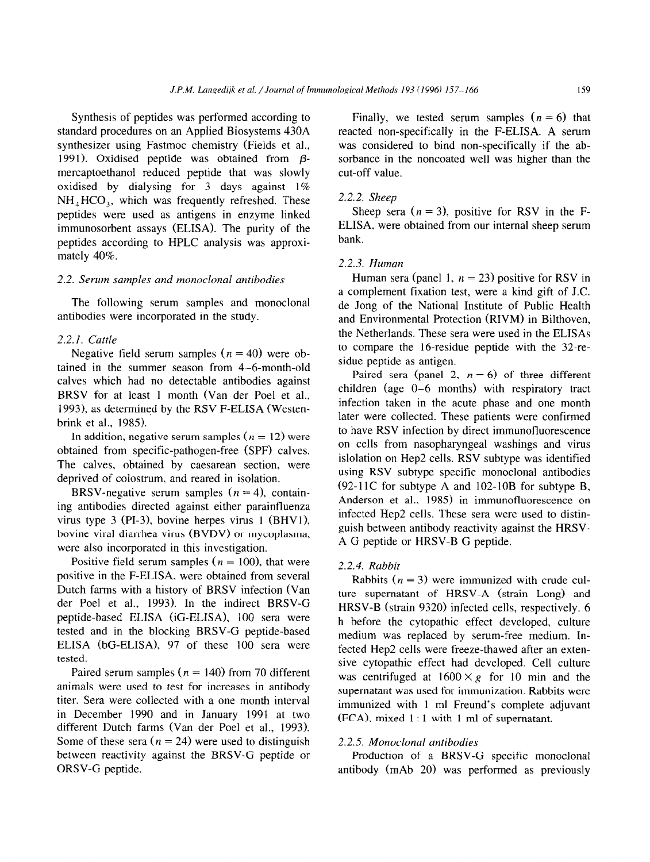Synthesis of peptides was performed according to standard procedures on an Applied Biosystems 430A synthesizer using Fastmoc chemistry (Fields et al., 1991). Oxidised peptide was obtained from  $\beta$ mercaptoethanol reduced peptide that was slowly oxidised by dialysing for 3 days against 1%  $NH<sub>4</sub>HCO<sub>3</sub>$ , which was frequently refreshed. These peptides were used as antigens in enzyme linked immunosorbent assays (ELISA). The purity of the peptides according to HPLC analysis was approximately 40%.

## 2.2. *Serum samples and monoclonal antibodies*

The following serum samples and monoclonal antibodies were incorporated in the study.

# 2.2.1. *Cattle*

Negative field serum samples  $(n = 40)$  were obtained in the summer season from 4-6-month-old calves which had no detectable antibodies against BRSV for at least 1 month (Van der Poel et al., 1993), as determined by the RSV F-ELISA (Westenbrink et al., 1985).

In addition, negative serum samples ( $n = 12$ ) were obtained from specific-pathogen-free (SPF) calves. The calves, obtained by caesarean section. were deprived of colostrum, and reared in isolation.

BRSV-negative serum samples  $(n = 4)$ , containing antibodies directed against either parainfluenza virus type 3 (PI-3), bovine herpes virus 1 (BHVl), bovine viral diarrhea virus (BVDV) or mycoplasma, were also incorporated in this investigation.

Positive field serum samples ( $n = 100$ ), that were positive in the F-ELISA. were obtained from several Dutch farms with a history of BRSV infection (Van der Poe1 et al., 1993). In the indirect BRSV-G peptide-based ELISA (iG-ELISA). 100 sera were tested and in the blocking BRSV-G peptide-based ELISA (bG-ELISA), 97 of these 100 sera were tested.

Paired serum samples ( $n = 140$ ) from 70 different animals were used to test for increases in antibody titer. Sera were collected with a one month interval in December 1990 and in January 1991 at two different Dutch farms (Van der Poe1 et al., 1993). Some of these sera ( $n = 24$ ) were used to distinguish between reactivity against the BRSV-G peptide or ORSV-G peptide.

Finally, we tested serum samples  $(n = 6)$  that reacted non-specifically in the F-ELISA. A serum was considered to bind non-specifically if the absorbance in the noncoated well was higher than the cut-off value.

#### 2.2.2. *Sheep*

Sheep sera  $(n = 3)$ , positive for RSV in the F-ELISA. were obtained from our internal sheep serum bank.

# 2.2.3. *Human*

Human sera (panel 1,  $n = 23$ ) positive for RSV in a complement fixation test, were a kind gift of J.C. de Jong of the National Institute of Public Health and Environmental Protection (RIVM) in Bilthoven, the Netherlands. These sera were used in the ELISAs to compare the 16-residue peptide with the 32-residue peptide as antigen.

Paired sera (panel 2,  $n = 6$ ) of three different children (age O-6 months) with respiratory tract infection taken in the acute phase and one month later were collected. These patients were confirmed to have RSV infection by direct immunofluorescence on cells from nasopharyngeal washings and virus islolation on Hep2 cells. RSV subtype was identified using RSV subtype specific monoclonal antibodies  $(92-11C)$  for subtype A and  $102-10B$  for subtype B, Anderson et al., 1985) in immunofluorescence on infected Hep2 cells. These sera were used to distinguish between antibody reactivity against the HRSV-A G peptide or HRSV-B G peptide.

## 2.2.4. *Rabbit*

Rabbits ( $n = 3$ ) were immunized with crude culture supematant of HRSV-A (strain Long) and HRSV-B (strain 9320) infected cells, respectively. 6 h before the cytopathic effect developed, culture medium was replaced by serum-free medium. Infected Hep2 cells were freeze-thawed after an extensive cytopathic effect had developed. Cell culture was centrifuged at  $1600 \times g$  for 10 min and the supernatant was used for immunization. Rabbits were immunized with 1 ml Freund's complete adjuvant (FCA). mixed 1 : 1 with 1 ml of supernatant.

## 2.2.5. *Monoclonal antibodies*

Production of a BRSV-G specific monoclonal antibody (mAb 20) was performed as previously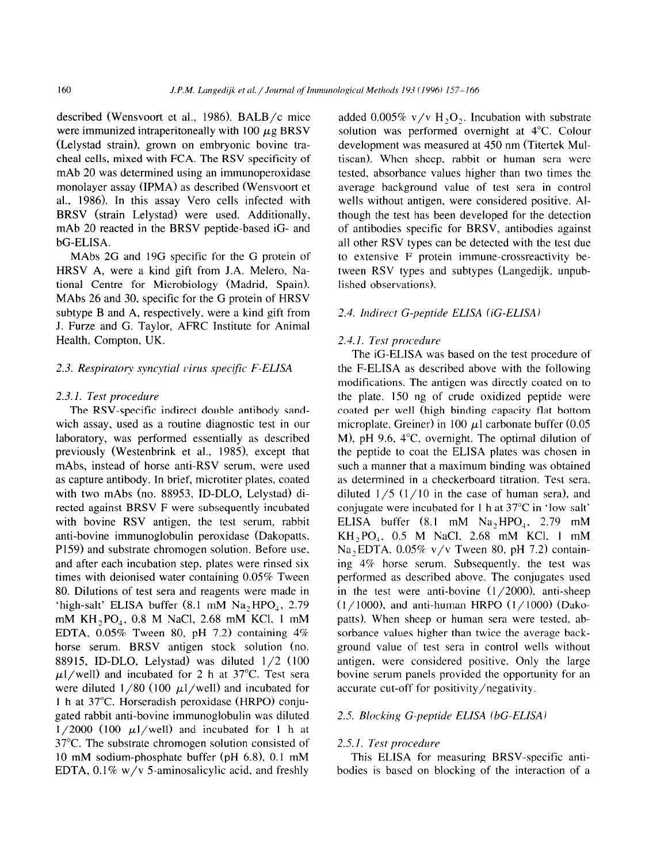described (Wensvoort et al., 1986). BALB/c mice were immunized intraperitoneally with 100  $\mu$ g BRSV (Lelystad strain), grown on embryonic bovine tracheal cells, mixed with FCA. The RSV specificity of mAb 20 was determined using an immunoperoxidase monolayer assay (IPMA) as described (Wensvoort et al., 1986). In this assay Vero cells infected with BRSV (strain Lelystad) were used. Additionally, mAb 20 reacted in the BRSV peptide-based iG- and bG-ELISA.

MAbs 2G and 19G specific for the G protein of HRSV A, were a kind gift from J.A. Melero, National Centre for Microbiology (Madrid, Spain). MAbs 26 and 30. specific for the G protein of HRSV subtype B and A, respectively, were a kind gift from J. Furze and G. Taylor, AFRC Institute for Animal Health, Compton. UK.

#### 2.3. *Respiratory syncytial virus specific F-ELISA*

## *2.3.1. Test procedure*

The RSV-specific indirect double antibody sandwich assay, used as a routine diagnostic test in our laboratory, was performed essentially as described previously (Westenbrink et al., 1985), except that mAbs, instead of horse anti-RSV serum, were used as capture antibody. In brief, microtiter plates, coated with two mAbs (no. 88953, ID-DLO, Lelystad) directed against BRSV-F were subsequently incubated with bovine RSV antigen, the test serum, rabbit anti-bovine immunoglobulin peroxidase (Dakopatts. P159) and substrate chromogen solution. Before use, and after each incubation step. plates were rinsed six times with deionised water containing 0.05% Tween 80. Dilutions of test sera and reagents were made in 'high-salt' ELISA buffer (8.1 mM Na<sub>2</sub> HPO<sub>4</sub>, 2.79 mM KH<sub>2</sub>PO<sub>4</sub>, 0.8 M NaCl, 2.68 mM KCl, 1 mM EDTA, 0.05% Tween 80, pH 7.2) containing 4% horse serum. BRSV antigen stock solution (no. 88915, ID-DLO, Lelystad) was diluted l/2 (100  $\mu$ 1/well) and incubated for 2 h at 37°C. Test sera were diluted  $1/80$  (100  $\mu$ 1/well) and incubated for 1 h at 37°C. Horseradish peroxidase (HRPO) conjugated rabbit anti-bovine immunoglobulin was diluted  $1/2000$  (100  $\mu$ 1/well) and incubated for 1 h at 37°C. The substrate chromogen solution consisted of 10 mM sodium-phosphate buffer (pH 6.8). 0.1 mM EDTA, 0.1% w/v 5-aminosalicylic acid, and freshly

added  $0.005\%$  v/v H,O<sub>2</sub>. Incubation with substrate solution was performed overnight at 4°C. Colour development was measured at 450 nm (Titertek Multiscan). When sheep, rabbit or human sera were tested, absorbance values higher than two times the average background value of test sera in control wells without antigen, were considered positive. Although the test has been developed for the detection of antibodies specific for BRSV, antibodies against all other RSV types can be detected with the test due to extensive F protein immune-crossreactivity between RSV types and subtypes (Langedijk. unpublished observations).

## 2.4. *Indirect G-peptide ELISA* (*iG-ELISA*)

## 2.4.1. Test procedure

The iG-ELISA was based on the test procedure of the F-ELISA as described above with the following modifications. The antigen was directly coated on to the plate. 150 ng of crude oxidized peptide were coated per well (high binding capacity flat bottom microplate. Greiner) in 100  $\mu$ l carbonate buffer (0.05 M), pH 9.6, 4°C, overnight. The optimal dilution of the peptide to coat the ELISA plates was chosen in such a manner that a maximum binding was obtained as determined in a checkerboard titration. Test sera. diluted  $1/5$  ( $1/10$  in the case of human sera), and conjugate were incubated for 1 h at 37°C in 'low-salt' ELISA buffer (8.1 mM Na<sub>2</sub>HPO<sub>4</sub>, 2.79 mM KH,PO,. 0.5 M NaCl. 2.68 mM KCl, 1 mM Na,EDTA. 0.05% v/v Tween 80, pH 7.2) containing 4% horse serum. Subsequently. the test was performed as described above. The conjugates used in the test were anti-bovine  $(1/2000)$ , anti-sheep  $(1/1000)$ , and anti-human HRPO  $(1/1000)$  (Dakopatts). When sheep or human sera were tested, absorbance values higher than twice the average background value of test sera in control wells without antigen, were considered positive. Only the large bovine serum panels provided the opportunity for an accurate cut-off for positivity/negativity.

## 2.5. *Blocking G-peptide ELISA* (bG-ELISA)

#### *2.5. I. Test procedure*

This ELISA for measuring BRSV-specific antibodies is based on blocking of the interaction of a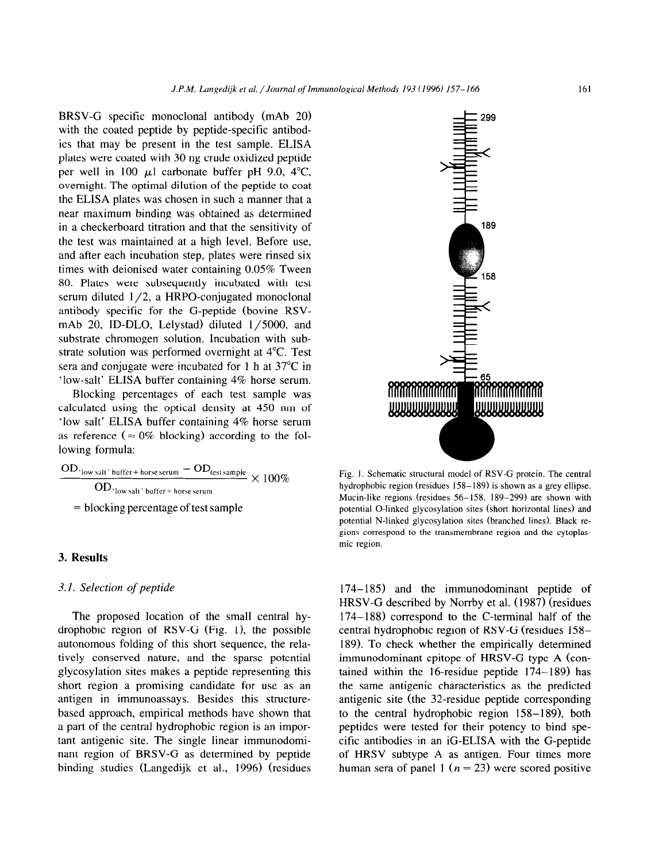BRSV-G specific monoclonal antibody (mAb 20) with the coated peptide by peptide-specific antibodies that may be present in the test sample. ELISA plates were coated with 30 ng crude oxidized peptide per well in 100  $\mu$ l carbonate buffer pH 9.0, 4°C, overnight. The optimal dilution of the peptide to coat the ELISA plates was chosen in such a manner that a near maximum binding was obtained as determined in a checkerboard titration and that the sensitivity of the test was maintained at a high level. Before use, and after each incubation step, plates were rinsed six times with deionised water containing 0.05% Tween 80. Plates were subsequently incubated with test serum diluted  $1/2$ , a HRPO-conjugated monoclonal antibody specific for the G-peptide (bovine RSVmAb 20, ID-DLO, Lelystad) diluted l/5000, and substrate chromogen solution. Incubation with substrate solution was performed overnight at 4°C. Test sera and conjugate were incubated for 1 h at 37°C in

'low-salt' ELISA buffer containing 4% horse serum. Blocking percentages of each test sample was calculated using the optical density at 450 nm of 'low salt' ELISA buffer containing 4% horse serum as reference  $(= 0\%$  blocking) according to the following formula:

 $\frac{OD \cdot_{\text{low salt}} \cdot \text{buffer} + \text{horse serum}}{OD} = \frac{OD \cdot_{\text{test sample}}}{O} \times 100\%$  $OD.$  low salt' buffer + horse serum

= blocking percentage of test sample

## 3. **Results**

# 3.1. *Selection of peptide*

The proposed location of the small central hydrophobic region of RSV-G (Fig. I), the possible autonomous folding of this short sequence, the relatively conserved nature, and the sparse potential glycosylation sites makes a peptide representing this short region a promising candidate for use as an antigen in immunoassays. Besides this structurebased approach, empirical methods have shown that a part of the central hydrophobic region is an important antigenic site. The single linear immunodominant region of BRSV-G as determined by peptide binding studies (Langedijk et al., 1996) (residues



174- 185) and the immunodominant peptide of HRSV-G described by Norrby et al. (1987) (residues 174-188) correspond to the C-terminal half of the central hydrophobic region of RSV-G (residues 158- 189). To check whether the empirically determined immunodominant epitope of HRSV-G type A (contained within the 16-residue peptide 174- 189) has the same antigenic characteristics as the predicted antigenic site (the 32-residue peptide corresponding to the central hydrophobic region 158-189), both peptides were tested for their potency to bind specific antibodies in an iG-ELISA with the G-peptide of HRSV subtype A as antigen. Four times more human sera of panel 1 ( $n = 23$ ) were scored positive

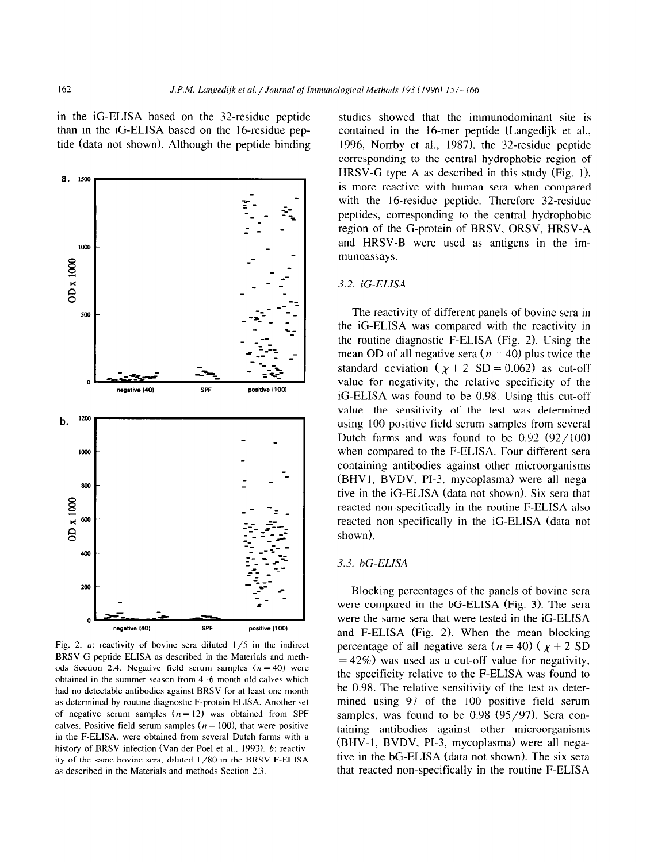in the iG-ELISA based on the 32-residue peptide than in the iG-ELISA based on the 16-residue peptide (data not shown). Although the peptide binding



Fig. 2.  $\alpha$ : reactivity of bovine sera diluted  $1/5$  in the indirect BRSV G peptide ELISA as described in the Materials and methods Section 2.4. Negative field serum samples  $(n = 40)$  were obtained in the summer season from 4-6.month-old calves which had no detectable antibodies against BRSV for at least one month as determined by routine diagnostic F-protein ELISA. Another set of negative serum samples  $(n = 12)$  was obtained from SPF calves. Positive field serum samples ( $n = 100$ ), that were positive in the F-ELISA, were obtained from several Dutch farms with a history of BRSV infection Wan der Poe1 et al.. 1993). *b:* reactivity of the same bovine sera, diluted l/80 in the BRSV F-ELISA as described in the Materials and methods Section 2.3.

studies showed that the immunodominant site is contained in the 16-mer peptide (Langedijk et al., 1996, Norrby et al.. 1987). the 32-residue peptide corresponding to the central hydrophobic region of HRSV-G type A as described in this study (Fig. I), is more reactive with human sera when compared with the I6-residue peptide. Therefore 32-residue peptides, corresponding to the central hydrophobic region of the G-protein of BRSV. ORSV, HRSV-A and HRSV-B were used as antigens in the immunoassays.

#### 3.2. *iG-ELBA*

The reactivity of different panels of bovine sera in the iG-ELISA was compared with the reactivity in the routine diagnostic F-ELISA (Fig. 2). Using the mean OD of all negative sera ( $n = 40$ ) plus twice the standard deviation ( $\chi + 2$  SD = 0.062) as cut-off value for negativity, the relative specificity of the iG-ELISA was found to be 0.98. Using this cut-off value, the sensitivity of the test was determined using 100 positive field serum samples from several Dutch farms and was found to be 0.92 (92/100) when compared to the F-ELISA. Four different sera containing antibodies against other microorganisms (BHVl, BVDV, PI-3. mycoplasma) were all negative in the iG-ELISA (data not shown). Six sera that reacted non-specifically in the routine F-ELISA also reacted non-specifically in the iG-ELISA (data not shown).

#### 3.3. *bG-ELISA*

Blocking percentages of the panels of bovine sera were compared in the bG-ELISA (Fig. 3). The sera were the same sera that were tested in the iG-ELISA and F-ELISA (Fig. 2). When the mean blocking percentage of all negative sera ( $n = 40$ ) ( $\chi + 2$  SD  $= 42\%)$  was used as a cut-off value for negativity, the specificity relative to the F-ELISA was found to be 0.98. The relative sensitivity of the test as determined using 97 of the 100 positive field serum samples, was found to be 0.98 (95/97). Sera containing antibodies against other microorganisms (BHV-1, BVDV, PI-3, mycoplasma) were all negative in the bG-ELISA (data not shown). The six sera that reacted non-specifically in the routine F-ELISA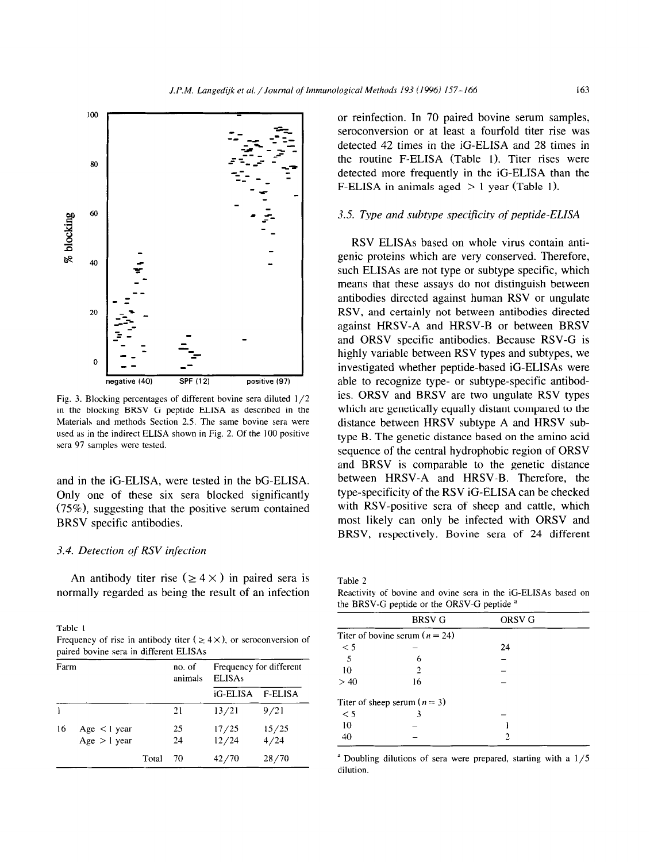

Fig. 3. Blocking percentages of different bovine sera diluted l/2 in the blocking BRSV G peptide ELISA as described in the Materials and methods Section 2.5. The same bovine sera were used as in the indirect ELISA shown in Fig. 2. Of the 100 positive sera 97 samples were tested.

and in the iG-ELISA, were tested in the bG-ELISA. Only one of these six sera blocked significantly  $(75%)$ , suggesting that the positive serum contained BRSV specific antibodies.

# 3.4. *Detection qf RSV infection*

An antibody titer rise ( $\geq 4 \times$ ) in paired sera is normally regarded as being the result of an infection

Table I Frequency of rise in antibody titer ( $\geq 4 \times$ ), or seroconversion of paired bovine sera in different ELISAs

| Farm |                                    |       | no. of<br>animals | Frequency for different<br><b>ELISAs</b> |                |  |  |  |  |
|------|------------------------------------|-------|-------------------|------------------------------------------|----------------|--|--|--|--|
|      |                                    |       |                   | iG-ELISA                                 | <b>F-ELISA</b> |  |  |  |  |
|      |                                    |       | 21                | 13/21                                    | 9/21           |  |  |  |  |
| 16   | Age $\lt 1$ year<br>Age $> 1$ year |       | 25<br>24          | 17/25<br>12/24                           | 15/25<br>4/24  |  |  |  |  |
|      |                                    | Total | 70                | 42/70                                    | 28/70          |  |  |  |  |

or reinfection. In 70 paired bovine serum samples, seroconversion or at least a fourfold titer rise was detected 42 times in the iG-ELISA and 28 times in the routine F-ELISA (Table 1). Titer rises were detected more frequently in the iG-ELISA than the F-ELISA in animals aged  $> 1$  year (Table 1).

#### 3.5. Type and subtype specificity of peptide-ELISA

RSV ELISAs based on whole virus contain antigenie proteins which are very conserved. Therefore, such ELISAs are not type or subtype specific, which means that these assays do not distinguish between antibodies directed against human RSV or ungulate RSV, and certainly not between antibodies directed against HRSV-A and HRSV-B or between BRSV and ORSV specific antibodies. Because RSV-G is highly variable between RSV types and subtypes, we investigated whether peptide-based iG-ELISAs were able to recognize type- or subtype-specific antibodies. ORSV and BRSV are two ungulate RSV types which are genetically equally distant compared to the distance between HRSV subtype A and HRSV subtype B. The genetic distance based on the amino acid sequence of the central hydrophobic region of ORSV and BRSV is comparable to the genetic distance between HRSV-A and HRSV-B. Therefore, the type-specificity of the RSV iG-ELISA can be checked with RSV-positive sera of sheep and cattle, which most likely can only be infected with ORSV and BRSV, respectively. Bovine sera of 24 different

Table 2

Reactivity of bovine and ovine sera in the iG-ELISAs based on the BRSV-G peptide or the ORSV-G peptide a

|          | $\mathbf{1}$<br><b>BRSV G</b>    | ORSV <sub>G</sub> |  |
|----------|----------------------------------|-------------------|--|
|          |                                  |                   |  |
|          | Titer of bovine serum $(n = 24)$ |                   |  |
| $\leq$ 5 |                                  | 24                |  |
| 5        | 6                                |                   |  |
| 10       | $\overline{2}$                   |                   |  |
| >40      | 16                               |                   |  |
|          | Titer of sheep serum $(n = 3)$   |                   |  |
| $\leq$ 5 |                                  |                   |  |
| 10       |                                  |                   |  |
| 40       |                                  |                   |  |

<sup>a</sup> Doubling dilutions of sera were prepared, starting with a  $1/5$ dilution.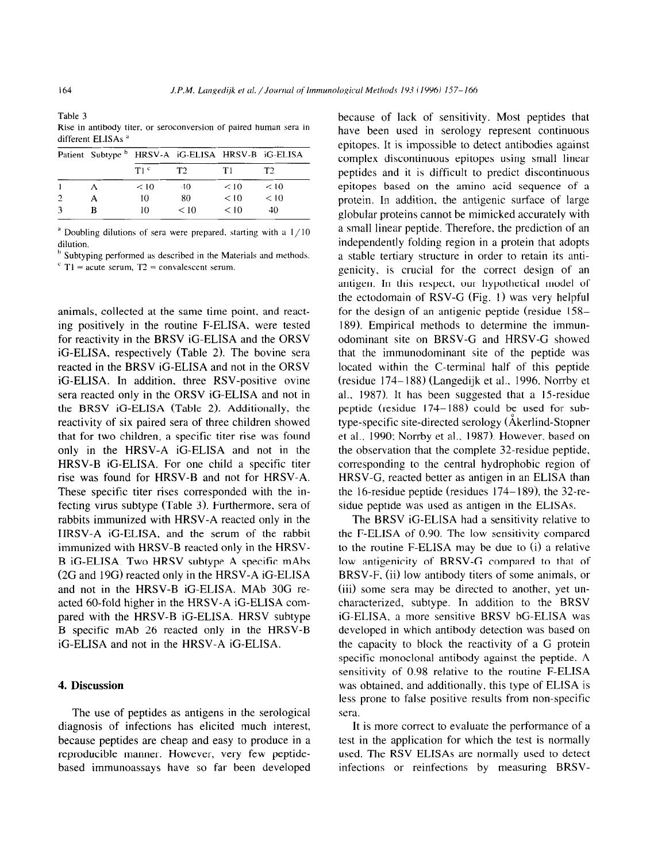Table 3 Rise in antibody titer, or seroconversion of paired human sera in different ELlSAs '

|   |                 | Patient Subtype <sup>b</sup> HRSV-A iG-ELISA HRSV-B iG-ELISA |      | T?   |  |  |
|---|-----------------|--------------------------------------------------------------|------|------|--|--|
|   | T1 <sup>c</sup> | T٦                                                           | ΤL   |      |  |  |
| А | < 10            | 40                                                           | < 10 | < 10 |  |  |
| А | 10              | 80                                                           | < 10 | < 10 |  |  |
|   | 10              | < 10                                                         | < 10 | 40   |  |  |

 $^{\circ}$  Doubling dilutions of sera were prepared, starting with a  $1/10$ dilution.

 $<sup>b</sup>$  Subtyping performed as described in the Materials and methods.</sup>

 $C T1$  = acute serum, T2 = convalescent serum.

animals, collected at the same time point. and reacting positively in the routine F-ELISA. were tested for reactivity in the BRSV iG-ELISA and the ORSV iG-ELISA, respectively (Table 2). The bovine sera reacted **in** the BRSV iG-ELISA and not in the ORSV iG-ELISA. In addition. three RSV-positive ovine sera reacted only in the ORSV iG-ELISA and not in the BRSV iG-ELISA (Table 2). Additionally. the reactivity of six paired sera of three children showed that for two children, a specific titer rise was found only in the HRSV-A iG-ELISA and not in the HRSV-B iG-ELISA. For one child a specific titer rise was found for HRSV-B and not for HRSV-A. These specific titer rises corresponded with the infecting virus subtype (Table 3). Furthermore, sera of rabbits immunized with HRSV-A reacted only in the HRSV-A iG-ELISA. and the serum of the rabbit immunized with HRSV-B reacted only in the HRSV-B iG-ELISA. Two HRSV subtype A specific mAbs (2G and 19G) reacted only in the HRSV-A iG-ELISA and not in the HRSV-B iG-ELISA. MAb 30G reacted 60-fold higher in the HRSV-A iG-ELISA compared with the HRSV-B iG-ELISA. HRSV subtype B specific mAb 26 reacted only in the HRSV-B iG-ELISA and not in the HRSV-A iG-ELISA.

## 4. **Discussion**

The use of peptides as antigens in the serological diagnosis of infections has elicited much interest, because peptides are cheap and easy to produce in a reproducible manner. However, very few peptidebased immunoassays have so far been developed **because** of lack of sensitivity. Most peptides that have been used in serology represent continuous epitopes. It is impossible to detect antibodies against complex discontinuous epitopes using small linear peptides and it is difficult to predict discontinuous epitopes based on the amino acid sequence of a protein. In addition. the antigenic surface of large globular proteins cannot be mimicked accurately with a small linear peptide. Therefore. the prediction of an independently folding region in a protein that adopts a stable tertiary structure in order to retain its antigenicity, is crucial for the correct design of an antigen. In this respect, our hypothetical model of the ectodomain of RSV-G (Fig. 1) was very helpful for the design of an antigenic peptide (residue 158– 189). Empirical methods to determine the immunodominant site on BRSV-G and HRSV-G showed that the immunodominant site of the peptide was located within the C-terminal half of this peptide (residue l74- 188) (Langedijk et al.. 1996. Norrby et al., 1987). It has been suggested that a 15-residue peptide (residue 174-188) could be used for subtype-specific site-directed serology (Akerlind-Stopner et al., 1990; Norrby et al., 1987). However, based on the observation that the complete 32.residue peptide, corresponding to the central hydrophobic region of HRSV-G. reacted better as antigen in an ELISA than the 16-residue peptide (residues l74- l89), the 32-residue peptide was used as antigen in the ELISAs.

The BRSV iG-ELISA had a sensitivity relative to the F-ELISA of 0.90. The low sensitivity compared to the routine F-ELISA may be due to (i) a relative low antigenicity of BRSV-G compared to that of BRSV-F, (ii) low antibody titers of some animals. or (iii) some sera may be directed to another, yet uncharacterized. subtype. In addition to the BRSV iG-ELISA. a more sensitive BRSV bG-ELISA was developed in which antibody detection was based on the capacity to block the reactivity of a G protein specific monoclonal antibody against the peptide. A sensitivity of 0.98 relative to the routine F-ELISA was obtained, and additionally. this type of ELISA is less prone to false positive results from non-specific sera.

It is more correct to evaluate the performance of a test in the application for which the test is normally used. The RSV ELISAs are normally used to detect infections or reinfections by measuring BRSV-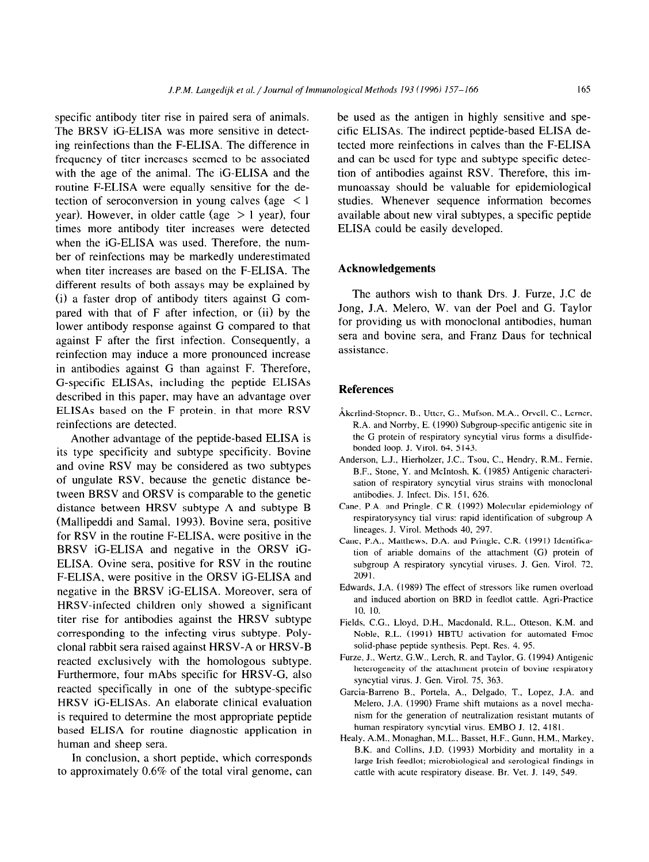specific antibody titer rise in paired sera of animals. The BRSV iG-ELISA was more sensitive in detecting reinfections than the F-ELISA. The difference in frequency of titer increases seemed to be associated with the age of the animal. The iG-ELISA and the routine F-ELISA were equally sensitive for the detection of seroconversion in young calves (age < 1 year). However, in older cattle (age  $> 1$  year), four times more antibody titer increases were detected when the iG-ELISA was used. Therefore, the number of reinfections may be markedly underestimated when titer increases are based on the F-ELISA. The different results of both assays may be explained by (i) a faster drop of antibody titers against G compared with that of F after infection, or (ii) by the lower antibody response against G compared to that against F after the first infection. Consequently, a reinfection may induce a more pronounced increase in antibodies against G than against F. Therefore, G-specific ELISAs, including the peptide ELISAs described in this paper, may have an advantage over ELISAs based on the F protein. in that more RSV reinfections are detected.

Another advantage of the peptide-based ELISA is its type specificity and subtype specificity. Bovine and ovine RSV may be considered as two subtypes of ungulate RSV. because the genetic distance between BRSV and ORSV is comparable to the genetic distance between HRSV subtype A and subtype B (Mallipeddi and Samal, 1993). Bovine sera, positive for RSV in the routine F-ELISA, were positive in the BRSV iG-ELISA and negative in the ORSV iG-ELISA. Ovine sera, positive for RSV in the routine F-ELISA, were positive in the ORSV iG-ELISA and negative in the BRSV iG-ELISA. Moreover, sera of HRSV-infected children only showed a significant titer rise for antibodies against the HRSV subtype corresponding to the infecting virus subtype. Polyclonal rabbit sera raised against HRSV-A or HRSV-B reacted exclusively with the homologous subtype. Furthermore, four mAbs specific for HRSV-G, also reacted specifically in one of the subtype-specific HRSV iG-ELISAs. An elaborate clinical evaluation is required to determine the most appropriate peptide based ELISA for routine diagnostic application in human and sheep sera.

In conclusion, a short peptide, which corresponds to approximately 0.6% of the total viral genome, can be used as the antigen in highly sensitive and specific ELISAs. The indirect peptide-based ELISA detected more reinfections in calves than the F-ELISA and can be used for type and subtype specific detection of antibodies against RSV. Therefore, this immunoassay should be valuable for epidemiological studies. Whenever sequence information becomes available about new viral subtypes, a specific peptide ELISA could be easily developed.

## **Acknowledgements**

The authors wish to thank Drs. J. Furze, J.C de Jong, J.A. Melero, W. van der Poe1 and G. Taylor for providing us with monoclonal antibodies, human sera and bovine sera, and Franz Daus for technical assistance.

#### **References**

- Åkerlind-Stopner, B., Utter, G., Mufson, M.A., Orvell, C., Lerner, R.A. and Norrby, E. (1990) Subgroup-specific antigenic site in the G protein of respiratory syncytial virus forms a disulfidebonded loop. J. Virol. 64, 5143.
- Anderson, L.J.. Hierholzer, J.C.. Tsou, C., Hendry. R.M.. Fernie. B.F., Stone, Y. and McIntosh, K. (1985) Antigenic characterisation of respiratory syncytial virus strains with monoclonal antibodies. J. Infect. Dis. 151, 626.
- Cane, P.A. and Pringle, CR. (1992) Molecular epidemiology of respiratorysyncy tial virus: rapid identification of subgroup A lineages. J. Virol. Methods 40, 297.
- Cane, P.A., Matthews, D.A. and Pringle. C.R. (1991) Identification of ariable domains of the attachment (G) protein of subgroup A respiratory syncytial viruses. J. Gen. Virol. 72, 2091.
- Edwards, J.A. (1989) The effect of stressors like rumen overload and induced abortion on BRD in feedlot cattle. Agri-Practice IO. IO.
- Fields. C.G.. Lloyd, D.H., Macdonald. R.L., Otteson, K.M. and Noble, R.L. (1991) HBTU activation for automated Fmoc solid-phase peptide synthesis. Pept. Res. 4, 95.
- Furze, J.. Wertz. G.W., Lerch, R. and Taylor, G. (1994) Antigenic heterogeneity of the attachment protein of bovine respiratory syncytial virus. J. Gen. Virol. 75. 363.
- Garcia-Barren0 B.. Portela, A., Delgado, T., Lopez, J.A. and Melero. J.A. (1990) Frame shift mutaions as a novel mechanism for the generation of neutralization resistant mutants of human respiratory syncytial virus. EMBO J. 12, 418 I.
- Healy. A.M., Monaghan, M.L.. Basset, H.F., Gunn. H.M., Markey. B.K. and Collins. J.D. (1993) Morbidity and mortality in a large Irish feedlot; microbiological and serological findings in cattle with acute respiratory disease. Br. Vet. J. 149, 549.